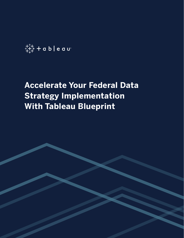+++<br>+++ **+ a b | e a u** 

# **Accelerate Your Federal Data Strategy Implementation With Tableau Blueprint**

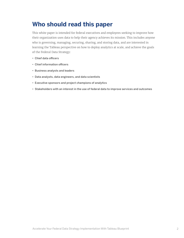## **Who should read this paper**

This white paper is intended for federal executives and employees seeking to improve how their organization uses data to help their agency achieves its mission. This includes anyone who is governing, managing, securing, sharing, and storing data, and are interested in learning the Tableau perspective on how to deploy analytics at scale, and achieve the goals of the Federal Data Strategy:

- Chief data officers
- Chief information officers
- Business analysts and leaders
- Data analysts, data engineers, and data scientists
- Executive sponsors and project champions of analytics
- Stakeholders with an interest in the use of federal data to improve services and outcomes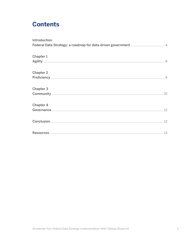## **Contents**

| Introduction     |  |
|------------------|--|
|                  |  |
|                  |  |
| Chapter 1        |  |
|                  |  |
| <b>Chapter 2</b> |  |
|                  |  |
|                  |  |
| <b>Chapter 3</b> |  |
|                  |  |
| Chapter 4        |  |
|                  |  |
|                  |  |
|                  |  |
|                  |  |
|                  |  |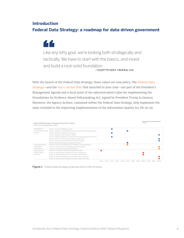## <span id="page-3-0"></span>**Introduction Federal Data Strategy: a roadmap for data-driven government**

Like any lofty goal, we're looking both strategically and tactically. We have to start with the basics, and invest and build a rock-solid foundation. —SUZETTE KENT, FEDERAL CIO

With the launch of the Federal Data Strategy, these values are now policy. The [Federal Data](https://strategy.data.gov)  [Strategy](https://strategy.data.gov)—and the [Year-1 Action Plan](https://strategy.data.gov/action-plan/) that launched in June 2019—are part of the President's Management Agenda and a focal point of the administration's plan for implementing the Foundations for Evidence-Based Policymaking Act, signed by President Trump in January. Moreover, the Agency Actions, contained within the Federal Data Strategy, help implement the steps included in the Improving Implementation of the Information Quality Act (M-19-15).



Figure 1 Federal Data Strategy proposed Action Plan timeline

44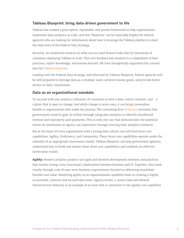#### <span id="page-4-0"></span>**Tableau Blueprint: bring data-driven government to life**

Tableau has created a prescriptive, repeatable, and proven framework to help organizations implement data analytics at scale, and this 'blueprint' can be especially helpful for federal agencies who are looking for information about how to leverage the Tableau platform to meet the objectives of the Federal Data Strategy.

Recently, we conducted research on what success (and failure) looks like for thousands of customers deploying Tableau at scale. This rich feedback has resulted in a compilation of best practices, expert knowledge, and lessons learned. We have thoughtfully organized this content into the [Tableau Blueprint.](http://www.tableau.com/learn/blueprint)

Leading with the Federal Data Strategy, and informed by Tableau Blueprint, federal agencies will be well prepared to leverage data as a strategic asset, achieve mission goals, and provide better service to their constituents.

#### **Data as an organizational mandate**

To succeed with any analytics initiative, it's essential to have a data-centric mindset, and a culture that is open to change. And while change is never easy, it can bring tremendous benefit to organizations who make the journey. The consulting firm [McKinsey](https://www.mckinsey.com/industries/public-and-social-sector/our-insights/the-trillion-dollar-prize-plugging-government-revenue-leaks-with-advanced-analytics#) estimates that governments stand to gain \$1 trillion through using data analytics to identify uncollected revenue and improperly paid payments. This is only one case that demonstrates the potential return on investment an agency can experience through starting their analytics initiative.

But at the heart of every organization with a strong data culture, you will find three core capabilities: Agility, Proficiency, and Community. These three core capabilities operate under the umbrella of an appropriate Governance model. Tableau Blueprint can help government agencies understand how to build and master these three core capabilities and establish an effective Governance model.

**Agility:** Modern analytics projects use agile and iterative development methods and practices that involve strong cross-functional collaboration between business and IT. Together, they work closely through a set of near-term business requirements focused on delivering immediate benefits and value. Mastering agility as an organizational capability leads to creating a highly accountable, cohesive and focused data team. Agency Action 3: Assess Data and Related Infrastructure Maturity is an example of an item that is connected to the Agility core capability.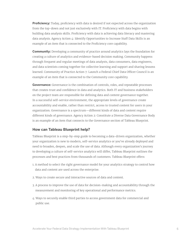**Proficiency:** Today, proficiency with data is desired if not expected across the organization from the top-down and not just exclusively with IT. Proficiency with data begins with building data analysis skills. Proficiency with data is achieving data literacy and mastering data analysis. Agency Action 4: Identify Opportunities to Increase Staff Data Skills is an example of an item that is connected to the Proficiency core capability.

**Community:** Developing a community of practice around analytics lays the foundation for creating a culture of analytics and evidence-based decision making. Community happens through frequent and regular meetings of data analysts, data consumers, data engineers, and data scientists coming together for collective learning and support and sharing lessons learned. Community of Practice Action 7: Launch a Federal Chief Data Officer Council is an example of an item that is connected to the Community core capability.

**Governance:** Governance is the combination of controls, roles, and repeatable processes that creates trust and confidence in data and analytics. Both IT and business stakeholders on the project team are responsible for defining data and content governance together. In a successful self-service environment, the appropriate levels of governance create accountability and enable, rather than restrict, access to trusted content for users in your organization. Governance is a spectrum—different kinds of data and content require different kinds of governance. Agency Action 2: Constitute a Diverse Data Governance Body is an example of an item that connects to the Governance section of Tableau Blueprint.

#### **How can Tableau Blueprint help?**

Tableau Blueprint is a step-by-step guide to becoming a data-driven organization, whether your organization is new to modern, self-service analytics or you've already deployed and need to broaden, deepen, and scale the use of data. Although every organization's journey to developing a culture of self-service analytics will differ, Tableau Blueprint outlines the processes and best practices from thousands of customers. Tableau Blueprint offers:

- 1. A method to select the right governance model for your analytics strategy to control how data and content are used across the enterprise.
- 2. Ways to create secure and interactive sources of data and content.
- 3. A process to improve the use of data for decision-making and accountability through the measurement and monitoring of key operational and performance metrics.
- 4. Ways to securely enable third parties to access government data for commercial and public use.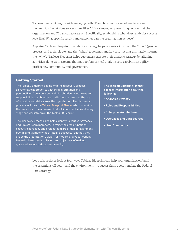Tableau Blueprint begins with engaging both IT and business stakeholders to answer the question "what does success look like?" It's a simple, yet powerful question that the organization and IT can collaborate on. Specifically, establishing what does analytics success look like? What specific results and outcomes can the organization achieve?

Applying Tableau Blueprint to analytics strategy helps organizations map the "how" (people, process, and technology), and the "what" (outcomes and key results) that ultimately informs the "why". Tableau Blueprint helps customers execute their analytic strategy by aligning activities along workstreams that map to four critical analytic core capabilities: agility, proficiency, community, and governance.

#### **Getting Started**

The Tableau Blueprint begins with the discovery process, a systematic approach to gathering information and perspectives from sponsors and stakeholders about roles and responsibilities, architecture and infrastructure, and the use of analytics and data across the organization. The discovery process includes the [Tableau Blueprint Planner](https://mkt.tableau.com/TableauBlueprintPlanner.xlsx) which contains the questions to be answered that will inform activities at every stage and workstream in the Tableau Blueprint.

The discovery process also helps identify Executive Advocacy and Project Team members. Forming the cross-functional executive advocacy and project team are critical for alignment, buy-in, and ultimately the strategy's success. Together, they shape the organization's vision for modern analytics, working towards shared goals, mission, and objectives of making governed, secure data access a reality.

The Tableau Blueprint Planner collects information about the following:

- Analytics Strategy
- Roles and Responsibilities
- Enterprise Architecture
- Use Cases and Data Sources
- User Community

Let's take a closer look at four ways Tableau Blueprint can help your organization build the essential skill sets—and the environment—to successfully operationalize the Federal Data Strategy.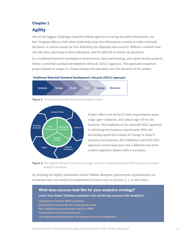## **Chapter 1 Agility**

One of the biggest challenges faced by federal agencies is having too little information, too late. Program efficacy fails when leadership lacks the information it needs to make informed decisions. A central reason for this deficiency are disparate data sources. Without a unified view into the data, reporting is often redundant, and it's difficult to follow-up questions.

In a traditional business intelligence environment, data warehousing, and report factory projects follow a waterfall standard development lifecycle (SDLC) approach. This approach sequences project phases or stages in a linear manner for execution over the duration of the project.

#### **Traditional Waterfall Standard Development Lifecycle (SDLC) Approach**



Figure 2 Traditional waterfall development cycle is linear



Project efforts are led by IT with requirements input, stage-gate validation, and output sign-off by the business. The emphasis of the waterfall SDLC approach is satisfying the business requirement. With the increasing speed and volume of change in today's business environment, the traditional waterfall SDLC approach cannot keep pace and a different and more modern approach (shown left) is necessary.

Figure 3 The Tableau Blueprint harnesses an agile and user-centered approach that supports a modern analytics workflow.

By utilizing the Agility framework within Tableau Blueprint, government organizations can accelerate their successful accomplishment of items such as Actions 3, 5, 6, and others.

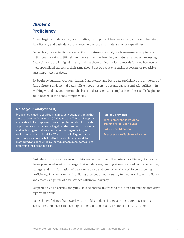## **Chapter 2 Proficiency**

As you begin your data analytics initiative, it's important to ensure that you are emphasizing data literacy and basic data proficiency before focusing on data science capabilities.

To be clear, data scientists are essential to mature data analytics teams—necessary for any initiatives involving artificial intelligence, machine learning, or natural language processing. Data scientists are in high demand, making them difficult roles to recruit for. And because of their specialized expertise, their time should not be spent on routine reporting or repetitive question/answer projects.

So, begin by building your foundation. Data literacy and basic data proficiency are at the core of data culture. Fundamental data skills empower users to become capable and self-sufficient in working with data, and informs the basis of data science, so emphasis on these skills begins to build needed data science competencies.

#### **Raise your analytical IQ**

Proficiency is tied to establishing a robust educational plan that aims to raise the "analytical IQ" of your team. Tableau Blueprint suggests a holistic approach; your organization should provide opportunities for your teams to gain understanding of processes and technologies that are specific to your organization, as well as Tableau-specific skills. Where to start? Organizational role-mapping can be a helpful tool for identifying how data is distributed and consumed by individual team members, and to determine their existing skills.

#### Tableau provides:

[Free, comprehensive video](https://www.tableau.com/learn/training)  [training for all user levels](https://www.tableau.com/learn/training) [Tableau certification](https://www.tableau.com/learn/certification) [Discover more Tableau education](https://www.tableau.com/learn)

Basic data proficiency begins with data analysis skills and it requires data literacy. As data skills develop and evolve within an organization, data engineering efforts focused on the collection, storage, and transformation of data can support and strengthen the workforce's growing proficiency. This focus on skill-building provides an opportunity for analytical talent to flourish, and creates a pipeline of data science within your agency.

Supported by self-service analytics, data scientists are freed to focus on data models that drive high value result.

Using the Proficiency framework within Tableau Blueprint, government organizations can accelerate their successful accomplishment of items such as Actions 4, 13, and others.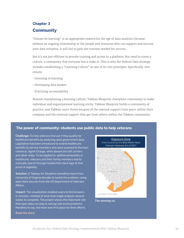## **Chapter 3 Community**

"Always be learning" is an appropriate mantra for the age of data analytics because without an ongoing relationship to the people and resources who can support and nurture your data initiative, it will fail to gain the traction needed for success.

But it's not just efficient to provide training and access to a platform. You need to create a culture, a community that everyone has a stake in. This is why the Federal Data Strategy includes establishing a "Learning Culture" as one of its core principles. Specifically, this entails:

- Investing in learning
- Developing data leaders
- Practicing accountability

Beyond championing a learning culture, Tableau Blueprint champions community to make individual and organizational learning sticky. Tableau Blueprint builds a community of practice, and Tableau users thrive because of the internal support from peers within their company and the external support they get from others within the Tableau community. munity.

#### This legislation presumes Agent Orange exposure for BWN veterans that served within the coastal waters of Vietnam unless The power of community: students use public data to help veterans **waterways to community**: to qualify to qualify

Challenge: To help veterans find out if they qualify for healthcare benefits by analyzing open government data. Legislation had been introduced to extend healthcare benefits to service members who were exposed to the toxic chemical, Agent Orange, while aboard aircraft carriers and other ships. To be eligible for additional benefits or healthcare, veterans and their family members had to manually search through handwritten deck logs to find proof of eligibility.

Solution: A Tableau for Students hackathon team from University of Virginia decides to tackle the problem, using open data sources from the US Department of Veterans Affairs.

Impact: The visualization enabled users to find answers in minutes—instead of what took single analysts several weeks to complete. The project shows the important role that open data can play in solving real-world problems. Needless to say, the team won first place for their efforts.



The winning viz

[Read the story](https://www.tableau.com/about/blog/2019/3/students-use-open-data-help-veteran-community-103158)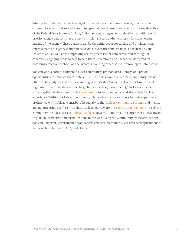When public data sets can be leveraged to create interactive visualizations, they become community assets that serve to promote open data and transparency, which is a key directive of the Federal Data Strategy. In fact, Action 16 requires agencies to identify "an initial set of priority agency datasets that are key to mission success and/or a priority for stakeholders outside of the agency. These datasets can be the initial focus for testing and implementing improvements to agency comprehensive data inventories and catalogs, as required by the Evidence Act, as well as for improving secure processes for data access and sharing, for concretely engaging stakeholders to help them understand and use federal data, and for obtaining effective feedback on the agency's planning processes to improve open data access."

Tableau works hard to cultivate its user community, promote data literacy, and provide opportunities to enhance users' data skills. The efforts have resulted in a community like no other in the analytics and business intelligence industry. Today, Tableau User Groups meet regularly in over 180 cities across the globe. Once a year, more than 15,000 Tableau users come together at the annual [Tableau Conference](https://tc19.tableau.com/?utm_campaign_id=2018151&utm_campaign=Nurture-TTC-ALL-ALL-ALL-ALL&utm_medium=Paid+Search&utm_source=Google+Search&utm_language=EN&utm_country=USCA&kw=tableau%20conference&adgroup=CTX-TC-Analytics+Conference-B&adused=263910260292&matchtype=e&placement=&gclsrc=aw.ds&&gclid=EAIaIQobChMItqaai-uP5AIViv5kCh0r_wQ8EAAYASAAEgIqSPD_BwE) to learn, network, and share their Tableau experience. Within the Tableau community, those who rise above others in their expertise and proficiency with Tableau, contribute frequently to the [Tableau Community Forums](https://community.tableau.com/welcome), and mentor and nurture others selflessly on their Tableau journey are the [Tableau Zen Masters.](https://www.tableau.com/zen-masters) The Tableau community includes users of [Tableau Public](https://public.tableau.com/en-us/s/download), a powerful—and free—resource that allows anyone to publish interactive data visualizations to the web. Using the Community framework within Tableau Blueprint, government organizations can accelerate their successful accomplishment of items such as Actions 2, 7, 10, and others.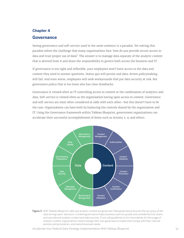## **Chapter 4 Governance**

Seeing governance and self-service used in the same sentence is a paradox. Yet solving this paradox solves the challenge that many organizations face: how do you provide secure access to data and trust proper use of data? The answer is to manage data separate of the analytic content that is derived from it and share the responsibility to govern both across the business and IT.

If governance is too tight and inflexible, your employees won't have access to the data and content they need to answer questions. Status quo will persist and data-driven policymaking will fail. And even worse, employees will seek workarounds that put data security at risk. But governance policy that is too loose also has clear drawbacks.

Governance is viewed often as IT controlling access to content or the combination of analytics and data. Self-service is viewed often as the organization having open access to content. Governance and self-service are most often considered at odds with each other—but this doesn't have to be the case. Organizations can have both by balancing the controls shared by the organization and IT. Using the Governance framework within Tableau Blueprint, government organizations can accelerate their successful accomplishment of items such as Actions 2, 9, and others.



Figure 3 With Tableau Blueprint, data and analytic content are governed. Data governance ensures the accuracy of the data driving users' decisions. Content governance helps business users to quickly and confidently find, share, and use relevant analytic content and data sources. From soft guidelines to firm boundaries for the usage of analytic content, organizations need to design their own governance models that comply with their internal policies and procedures, and overall business needs.

Accelerate Your Federal Data Strategy Implementation With Tableau Blueprint 12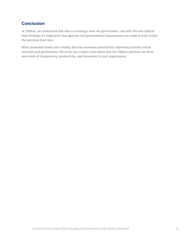### <span id="page-12-0"></span>**Conclusion**

At Tableau, we understand that data is a strategic asset for government—and with the new Federal Data Strategy, it's imperative that agencies and governmental organizations are ready to fully realize the potential their data.

When presented clearly and visually, data has enormous potential for improving mission critical outcomes and performance. We invite you to learn more about how the Tableau platform can drive new levels of transparency, productivity, and innovation in your organization.